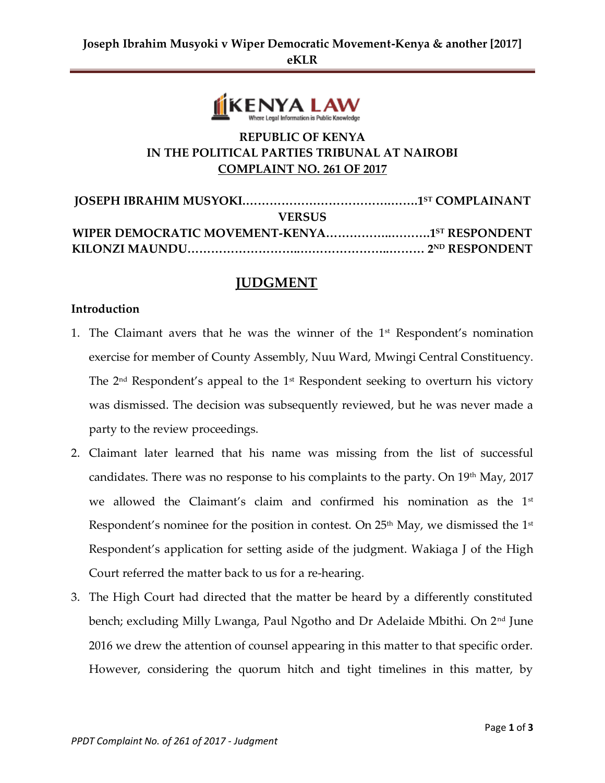

# **REPUBLIC OF KENYA IN THE POLITICAL PARTIES TRIBUNAL AT NAIROBI COMPLAINT NO. 261 OF 2017**

| <b>VERSUS</b> |  |
|---------------|--|
|               |  |
|               |  |

# **JUDGMENT**

#### **Introduction**

- 1. The Claimant avers that he was the winner of the  $1<sup>st</sup>$  Respondent's nomination exercise for member of County Assembly, Nuu Ward, Mwingi Central Constituency. The  $2<sup>nd</sup>$  Respondent's appeal to the  $1<sup>st</sup>$  Respondent seeking to overturn his victory was dismissed. The decision was subsequently reviewed, but he was never made a party to the review proceedings.
- 2. Claimant later learned that his name was missing from the list of successful candidates. There was no response to his complaints to the party. On 19th May, 2017 we allowed the Claimant's claim and confirmed his nomination as the  $1<sup>st</sup>$ Respondent's nominee for the position in contest. On  $25<sup>th</sup>$  May, we dismissed the  $1<sup>st</sup>$ Respondent's application for setting aside of the judgment. Wakiaga J of the High Court referred the matter back to us for a re-hearing.
- 3. The High Court had directed that the matter be heard by a differently constituted bench; excluding Milly Lwanga, Paul Ngotho and Dr Adelaide Mbithi. On 2<sup>nd</sup> June 2016 we drew the attention of counsel appearing in this matter to that specific order. However, considering the quorum hitch and tight timelines in this matter, by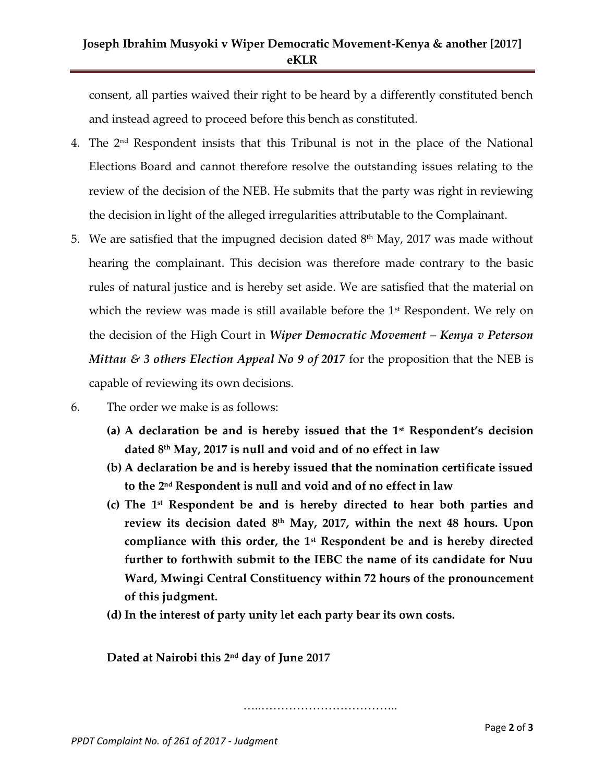# **Joseph Ibrahim Musyoki v Wiper Democratic Movement-Kenya & another [2017] eKLR**

consent, all parties waived their right to be heard by a differently constituted bench and instead agreed to proceed before this bench as constituted.

- 4. The 2nd Respondent insists that this Tribunal is not in the place of the National Elections Board and cannot therefore resolve the outstanding issues relating to the review of the decision of the NEB. He submits that the party was right in reviewing the decision in light of the alleged irregularities attributable to the Complainant.
- 5. We are satisfied that the impugned decision dated  $8<sup>th</sup>$  May, 2017 was made without hearing the complainant. This decision was therefore made contrary to the basic rules of natural justice and is hereby set aside. We are satisfied that the material on which the review was made is still available before the  $1<sup>st</sup>$  Respondent. We rely on the decision of the High Court in *Wiper Democratic Movement – Kenya v Peterson Mittau & 3 others Election Appeal No 9 of 2017* for the proposition that the NEB is capable of reviewing its own decisions.
- 6. The order we make is as follows:
	- **(a) A declaration be and is hereby issued that the 1st Respondent's decision dated 8th May, 2017 is null and void and of no effect in law**
	- **(b) A declaration be and is hereby issued that the nomination certificate issued to the 2 nd Respondent is null and void and of no effect in law**
	- **(c) The 1st Respondent be and is hereby directed to hear both parties and**  review its decision dated 8<sup>th</sup> May, 2017, within the next 48 hours. Upon **compliance with this order, the 1st Respondent be and is hereby directed further to forthwith submit to the IEBC the name of its candidate for Nuu Ward, Mwingi Central Constituency within 72 hours of the pronouncement of this judgment.**
	- **(d) In the interest of party unity let each party bear its own costs.**

**Dated at Nairobi this 2 nd day of June 2017**

…………………………………